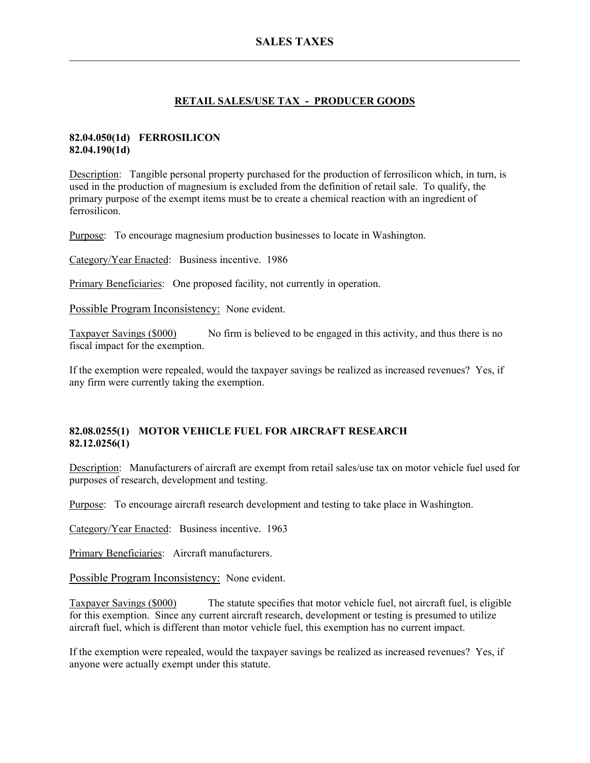# **RETAIL SALES/USE TAX - PRODUCER GOODS**

## **82.04.050(1d) FERROSILICON 82.04.190(1d)**

Description: Tangible personal property purchased for the production of ferrosilicon which, in turn, is used in the production of magnesium is excluded from the definition of retail sale. To qualify, the primary purpose of the exempt items must be to create a chemical reaction with an ingredient of ferrosilicon.

Purpose: To encourage magnesium production businesses to locate in Washington.

Category/Year Enacted: Business incentive. 1986

Primary Beneficiaries: One proposed facility, not currently in operation.

Possible Program Inconsistency: None evident.

Taxpayer Savings (\$000) No firm is believed to be engaged in this activity, and thus there is no fiscal impact for the exemption.

If the exemption were repealed, would the taxpayer savings be realized as increased revenues? Yes, if any firm were currently taking the exemption.

## **82.08.0255(1) MOTOR VEHICLE FUEL FOR AIRCRAFT RESEARCH 82.12.0256(1)**

Description: Manufacturers of aircraft are exempt from retail sales/use tax on motor vehicle fuel used for purposes of research, development and testing.

Purpose: To encourage aircraft research development and testing to take place in Washington.

Category/Year Enacted: Business incentive. 1963

Primary Beneficiaries: Aircraft manufacturers.

Possible Program Inconsistency: None evident.

Taxpayer Savings (\$000) The statute specifies that motor vehicle fuel, not aircraft fuel, is eligible for this exemption. Since any current aircraft research, development or testing is presumed to utilize aircraft fuel, which is different than motor vehicle fuel, this exemption has no current impact.

If the exemption were repealed, would the taxpayer savings be realized as increased revenues? Yes, if anyone were actually exempt under this statute.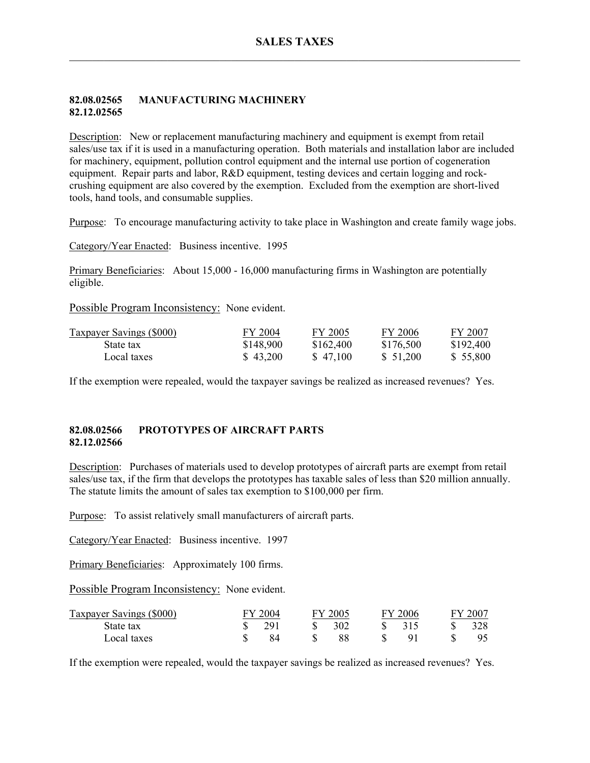### **82.08.02565 MANUFACTURING MACHINERY 82.12.02565**

Description: New or replacement manufacturing machinery and equipment is exempt from retail sales/use tax if it is used in a manufacturing operation. Both materials and installation labor are included for machinery, equipment, pollution control equipment and the internal use portion of cogeneration equipment. Repair parts and labor, R&D equipment, testing devices and certain logging and rockcrushing equipment are also covered by the exemption. Excluded from the exemption are short-lived tools, hand tools, and consumable supplies.

Purpose: To encourage manufacturing activity to take place in Washington and create family wage jobs.

Category/Year Enacted: Business incentive. 1995

Primary Beneficiaries: About 15,000 - 16,000 manufacturing firms in Washington are potentially eligible.

Possible Program Inconsistency: None evident.

| <b>Taxpayer Savings (\$000)</b> | FY 2004   | FY 2005   | FY 2006   | FY 2007   |
|---------------------------------|-----------|-----------|-----------|-----------|
| State tax                       | \$148,900 | \$162,400 | \$176,500 | \$192.400 |
| Local taxes                     | \$43,200  | \$47,100  | \$51,200  | \$ 55,800 |

If the exemption were repealed, would the taxpayer savings be realized as increased revenues? Yes.

### **82.08.02566 PROTOTYPES OF AIRCRAFT PARTS 82.12.02566**

Description: Purchases of materials used to develop prototypes of aircraft parts are exempt from retail sales/use tax, if the firm that develops the prototypes has taxable sales of less than \$20 million annually. The statute limits the amount of sales tax exemption to \$100,000 per firm.

Purpose: To assist relatively small manufacturers of aircraft parts.

Category/Year Enacted: Business incentive. 1997

Primary Beneficiaries: Approximately 100 firms.

Possible Program Inconsistency: None evident.

| Taxpayer Savings (\$000) | FY 2004 | FY 2005 | FV | $-2006$ | $FY$ 200 $^{\circ}$ |
|--------------------------|---------|---------|----|---------|---------------------|
| State tax                | 291     | 302     |    | 315     | 328                 |
| Local taxes              |         |         |    |         |                     |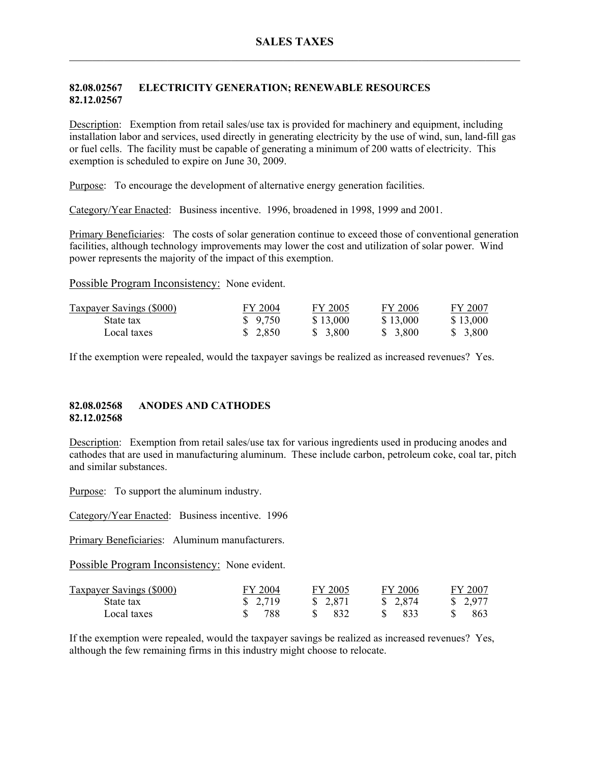## **82.08.02567 ELECTRICITY GENERATION; RENEWABLE RESOURCES 82.12.02567**

Description: Exemption from retail sales/use tax is provided for machinery and equipment, including installation labor and services, used directly in generating electricity by the use of wind, sun, land-fill gas or fuel cells. The facility must be capable of generating a minimum of 200 watts of electricity. This exemption is scheduled to expire on June 30, 2009.

Purpose: To encourage the development of alternative energy generation facilities.

Category/Year Enacted: Business incentive. 1996, broadened in 1998, 1999 and 2001.

Primary Beneficiaries: The costs of solar generation continue to exceed those of conventional generation facilities, although technology improvements may lower the cost and utilization of solar power. Wind power represents the majority of the impact of this exemption.

Possible Program Inconsistency: None evident.

| <b>Taxpayer Savings (\$000)</b> | FY 2004 | FY 2005  | FY 2006  | FY 2007  |
|---------------------------------|---------|----------|----------|----------|
| State tax                       | \$9,750 | \$13,000 | \$13,000 | \$13,000 |
| Local taxes                     | \$2,850 | \$ 3,800 | \$ 3,800 | \$ 3.800 |

If the exemption were repealed, would the taxpayer savings be realized as increased revenues? Yes.

### **82.08.02568 ANODES AND CATHODES 82.12.02568**

Description: Exemption from retail sales/use tax for various ingredients used in producing anodes and cathodes that are used in manufacturing aluminum. These include carbon, petroleum coke, coal tar, pitch and similar substances.

Purpose: To support the aluminum industry.

Category/Year Enacted: Business incentive. 1996

Primary Beneficiaries: Aluminum manufacturers.

Possible Program Inconsistency: None evident.

| <b>Taxpayer Savings (\$000)</b> | FY 2004  | FY 2005  | FY 2006  | FY 2007  |
|---------------------------------|----------|----------|----------|----------|
| State tax                       | \$ 2,719 | \$ 2,871 | \$ 2,874 | \$ 2,977 |
| Local taxes                     | 788      | 832      | -833     | 863      |

If the exemption were repealed, would the taxpayer savings be realized as increased revenues? Yes, although the few remaining firms in this industry might choose to relocate.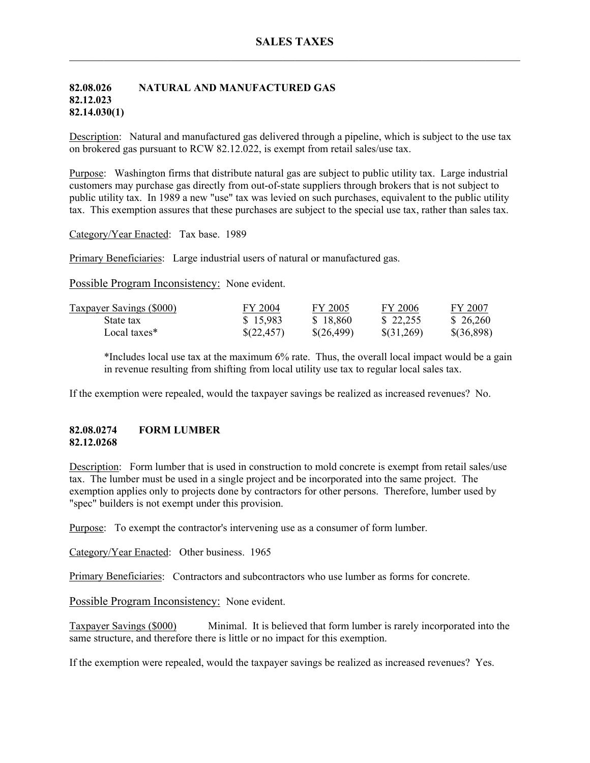## **82.08.026 NATURAL AND MANUFACTURED GAS 82.12.023 82.14.030(1)**

Description: Natural and manufactured gas delivered through a pipeline, which is subject to the use tax on brokered gas pursuant to RCW 82.12.022, is exempt from retail sales/use tax.

Purpose: Washington firms that distribute natural gas are subject to public utility tax. Large industrial customers may purchase gas directly from out-of-state suppliers through brokers that is not subject to public utility tax. In 1989 a new "use" tax was levied on such purchases, equivalent to the public utility tax. This exemption assures that these purchases are subject to the special use tax, rather than sales tax.

Category/Year Enacted: Tax base. 1989

Primary Beneficiaries: Large industrial users of natural or manufactured gas.

Possible Program Inconsistency: None evident.

| Taxpayer Savings (\$000) | FY 2004    | FY 2005    | FY 2006    | FY 2007    |
|--------------------------|------------|------------|------------|------------|
| State tax                | \$15,983   | \$18,860   | \$22,255   | \$26,260   |
| Local taxes*             | \$(22,457) | \$(26,499) | \$(31,269) | \$(36,898) |

\*Includes local use tax at the maximum 6% rate. Thus, the overall local impact would be a gain in revenue resulting from shifting from local utility use tax to regular local sales tax.

If the exemption were repealed, would the taxpayer savings be realized as increased revenues? No.

### **82.08.0274 FORM LUMBER 82.12.0268**

Description: Form lumber that is used in construction to mold concrete is exempt from retail sales/use tax. The lumber must be used in a single project and be incorporated into the same project. The exemption applies only to projects done by contractors for other persons. Therefore, lumber used by "spec" builders is not exempt under this provision.

Purpose: To exempt the contractor's intervening use as a consumer of form lumber.

Category/Year Enacted: Other business. 1965

Primary Beneficiaries: Contractors and subcontractors who use lumber as forms for concrete.

Possible Program Inconsistency: None evident.

Taxpayer Savings (\$000) Minimal. It is believed that form lumber is rarely incorporated into the same structure, and therefore there is little or no impact for this exemption.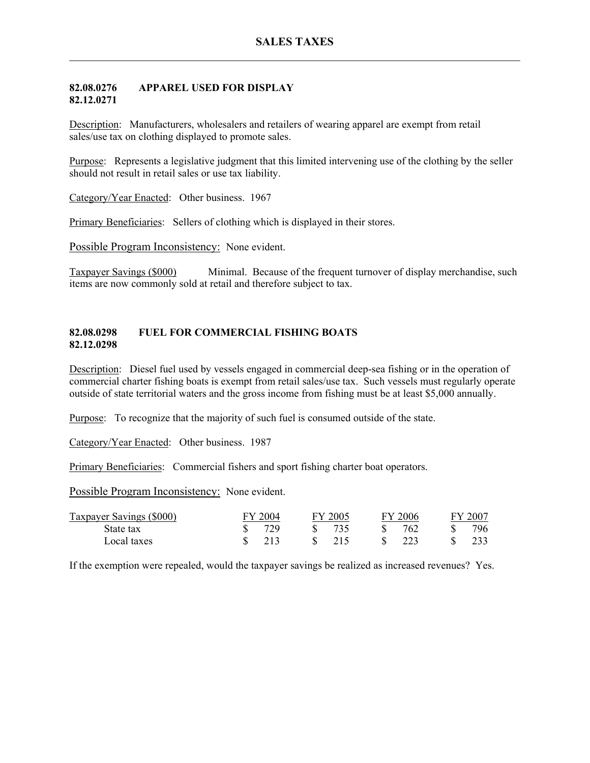### **82.08.0276 APPAREL USED FOR DISPLAY 82.12.0271**

Description: Manufacturers, wholesalers and retailers of wearing apparel are exempt from retail sales/use tax on clothing displayed to promote sales.

Purpose: Represents a legislative judgment that this limited intervening use of the clothing by the seller should not result in retail sales or use tax liability.

Category/Year Enacted: Other business. 1967

Primary Beneficiaries: Sellers of clothing which is displayed in their stores.

Possible Program Inconsistency: None evident.

Taxpayer Savings (\$000) Minimal. Because of the frequent turnover of display merchandise, such items are now commonly sold at retail and therefore subject to tax.

### **82.08.0298 FUEL FOR COMMERCIAL FISHING BOATS 82.12.0298**

Description: Diesel fuel used by vessels engaged in commercial deep-sea fishing or in the operation of commercial charter fishing boats is exempt from retail sales/use tax. Such vessels must regularly operate outside of state territorial waters and the gross income from fishing must be at least \$5,000 annually.

Purpose: To recognize that the majority of such fuel is consumed outside of the state.

Category/Year Enacted: Other business. 1987

Primary Beneficiaries: Commercial fishers and sport fishing charter boat operators.

Possible Program Inconsistency: None evident.

| Taxpayer Savings (\$000) | 2004 | FY 2005 | FY 2006   | 2007 |
|--------------------------|------|---------|-----------|------|
| State tax                | 729  | -735    | 762       | 796  |
| Local taxes              | 213  | 215     | <u>າາ</u> |      |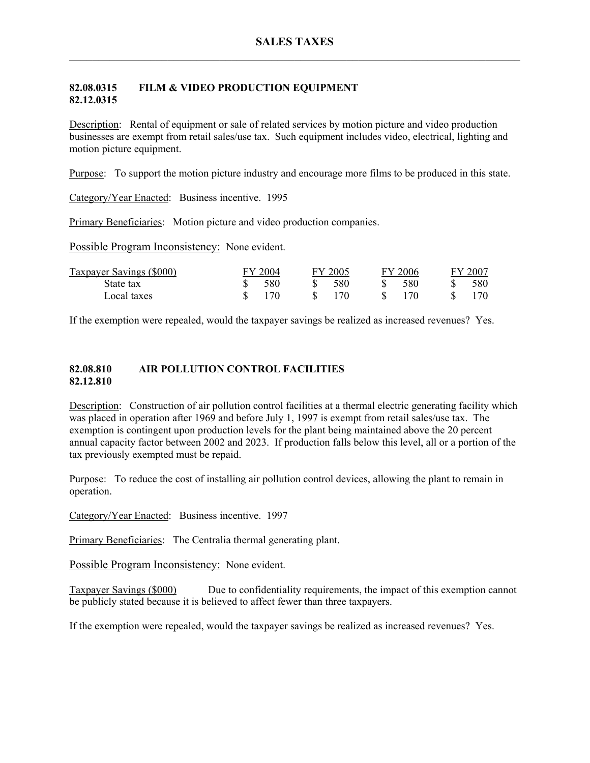## **82.08.0315 FILM & VIDEO PRODUCTION EQUIPMENT 82.12.0315**

Description: Rental of equipment or sale of related services by motion picture and video production businesses are exempt from retail sales/use tax. Such equipment includes video, electrical, lighting and motion picture equipment.

Purpose: To support the motion picture industry and encourage more films to be produced in this state.

Category/Year Enacted: Business incentive. 1995

Primary Beneficiaries: Motion picture and video production companies.

Possible Program Inconsistency: None evident.

| Taxpayer Savings (\$000) | FY 2004 | FY 2005   | FY 2006 | FY 2007          |
|--------------------------|---------|-----------|---------|------------------|
| State tax                | 580     | 580<br>S. | 580     | 580 <sup>-</sup> |
| Local taxes              | 170     | 170       | 170     |                  |

If the exemption were repealed, would the taxpayer savings be realized as increased revenues? Yes.

### **82.08.810 AIR POLLUTION CONTROL FACILITIES 82.12.810**

Description: Construction of air pollution control facilities at a thermal electric generating facility which was placed in operation after 1969 and before July 1, 1997 is exempt from retail sales/use tax. The exemption is contingent upon production levels for the plant being maintained above the 20 percent annual capacity factor between 2002 and 2023. If production falls below this level, all or a portion of the tax previously exempted must be repaid.

Purpose: To reduce the cost of installing air pollution control devices, allowing the plant to remain in operation.

Category/Year Enacted: Business incentive. 1997

Primary Beneficiaries: The Centralia thermal generating plant.

Possible Program Inconsistency: None evident.

Taxpayer Savings (\$000) Due to confidentiality requirements, the impact of this exemption cannot be publicly stated because it is believed to affect fewer than three taxpayers.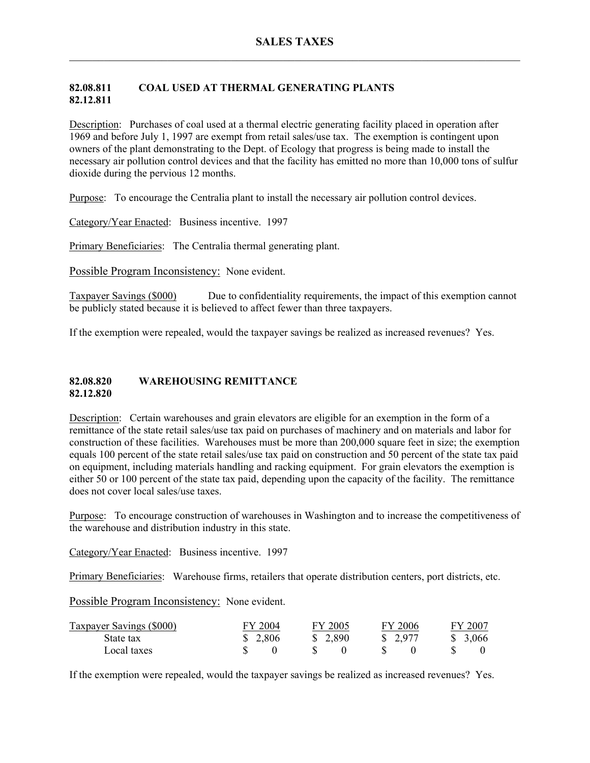# **82.08.811 COAL USED AT THERMAL GENERATING PLANTS 82.12.811**

Description: Purchases of coal used at a thermal electric generating facility placed in operation after 1969 and before July 1, 1997 are exempt from retail sales/use tax. The exemption is contingent upon owners of the plant demonstrating to the Dept. of Ecology that progress is being made to install the necessary air pollution control devices and that the facility has emitted no more than 10,000 tons of sulfur dioxide during the pervious 12 months.

Purpose: To encourage the Centralia plant to install the necessary air pollution control devices.

Category/Year Enacted: Business incentive. 1997

Primary Beneficiaries: The Centralia thermal generating plant.

Possible Program Inconsistency: None evident.

Taxpayer Savings (\$000) Due to confidentiality requirements, the impact of this exemption cannot be publicly stated because it is believed to affect fewer than three taxpayers.

If the exemption were repealed, would the taxpayer savings be realized as increased revenues? Yes.

#### **82.08.820 WAREHOUSING REMITTANCE 82.12.820**

Description: Certain warehouses and grain elevators are eligible for an exemption in the form of a remittance of the state retail sales/use tax paid on purchases of machinery and on materials and labor for construction of these facilities. Warehouses must be more than 200,000 square feet in size; the exemption equals 100 percent of the state retail sales/use tax paid on construction and 50 percent of the state tax paid on equipment, including materials handling and racking equipment. For grain elevators the exemption is either 50 or 100 percent of the state tax paid, depending upon the capacity of the facility. The remittance does not cover local sales/use taxes.

Purpose: To encourage construction of warehouses in Washington and to increase the competitiveness of the warehouse and distribution industry in this state.

Category/Year Enacted: Business incentive. 1997

Primary Beneficiaries: Warehouse firms, retailers that operate distribution centers, port districts, etc.

Possible Program Inconsistency: None evident.

| <b>Taxpayer Savings (\$000)</b> | FY 2004 | FY 2005 | FY 2006  | FY 2007  |
|---------------------------------|---------|---------|----------|----------|
| State tax                       | \$2,806 | \$2,890 | \$ 2,977 | \$ 3,066 |
| Local taxes                     |         |         |          |          |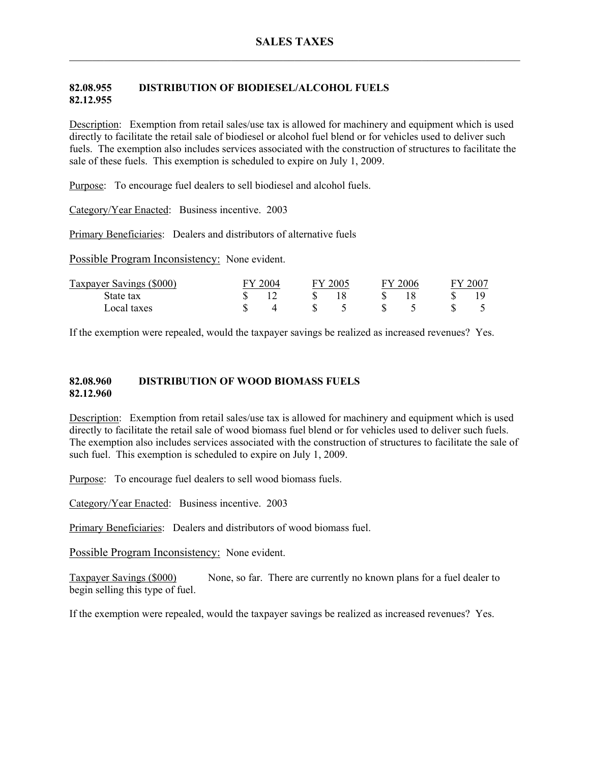## **82.08.955 DISTRIBUTION OF BIODIESEL/ALCOHOL FUELS 82.12.955**

Description: Exemption from retail sales/use tax is allowed for machinery and equipment which is used directly to facilitate the retail sale of biodiesel or alcohol fuel blend or for vehicles used to deliver such fuels. The exemption also includes services associated with the construction of structures to facilitate the sale of these fuels. This exemption is scheduled to expire on July 1, 2009.

Purpose: To encourage fuel dealers to sell biodiesel and alcohol fuels.

Category/Year Enacted: Business incentive. 2003

Primary Beneficiaries: Dealers and distributors of alternative fuels

Possible Program Inconsistency: None evident.

| Taxpayer Savings (\$000) | 2004 | $\frac{1}{2005}$ | 2006 | 2007 |
|--------------------------|------|------------------|------|------|
| State tax                |      |                  |      |      |
| Local taxes              |      |                  |      |      |

If the exemption were repealed, would the taxpayer savings be realized as increased revenues? Yes.

#### **82.08.960 DISTRIBUTION OF WOOD BIOMASS FUELS 82.12.960**

Description: Exemption from retail sales/use tax is allowed for machinery and equipment which is used directly to facilitate the retail sale of wood biomass fuel blend or for vehicles used to deliver such fuels. The exemption also includes services associated with the construction of structures to facilitate the sale of such fuel. This exemption is scheduled to expire on July 1, 2009.

Purpose: To encourage fuel dealers to sell wood biomass fuels.

Category/Year Enacted: Business incentive. 2003

Primary Beneficiaries: Dealers and distributors of wood biomass fuel.

Possible Program Inconsistency: None evident.

Taxpayer Savings (\$000) None, so far. There are currently no known plans for a fuel dealer to begin selling this type of fuel.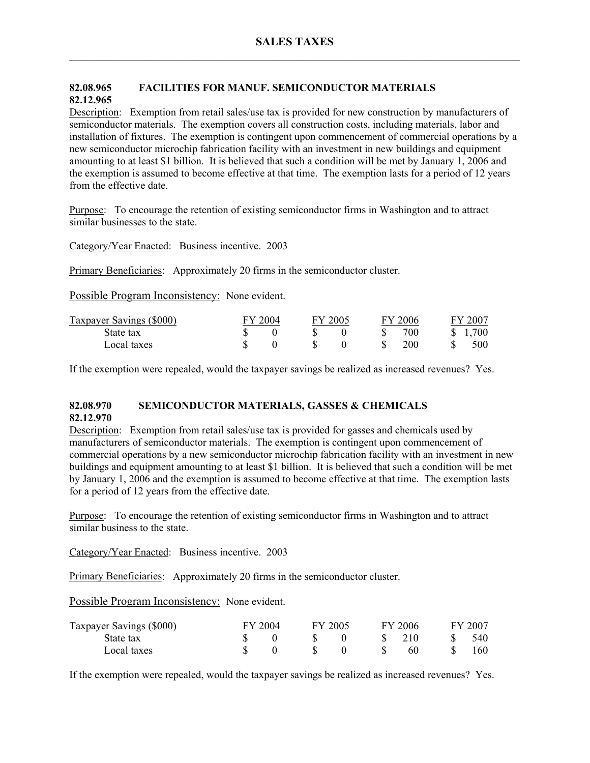# **82.08.965 FACILITIES FOR MANUF. SEMICONDUCTOR MATERIALS 82.12.965**

Description: Exemption from retail sales/use tax is provided for new construction by manufacturers of semiconductor materials. The exemption covers all construction costs, including materials, labor and installation of fixtures. The exemption is contingent upon commencement of commercial operations by a new semiconductor microchip fabrication facility with an investment in new buildings and equipment amounting to at least \$1 billion. It is believed that such a condition will be met by January 1, 2006 and the exemption is assumed to become effective at that time. The exemption lasts for a period of 12 years from the effective date.

Purpose: To encourage the retention of existing semiconductor firms in Washington and to attract similar businesses to the state.

Category/Year Enacted: Business incentive. 2003

Primary Beneficiaries: Approximately 20 firms in the semiconductor cluster.

Possible Program Inconsistency: None evident.

| Taxpayer Savings (\$000) | FY 2004 | FY 2005 |  | FY 2006 | FY 2007 |
|--------------------------|---------|---------|--|---------|---------|
| State tax                |         |         |  | 700     | 1,700   |
| Local taxes              |         |         |  | 200     | 500     |

If the exemption were repealed, would the taxpayer savings be realized as increased revenues? Yes.

## **82.08.970 SEMICONDUCTOR MATERIALS, GASSES & CHEMICALS 82.12.970**

Description: Exemption from retail sales/use tax is provided for gasses and chemicals used by manufacturers of semiconductor materials. The exemption is contingent upon commencement of commercial operations by a new semiconductor microchip fabrication facility with an investment in new buildings and equipment amounting to at least \$1 billion. It is believed that such a condition will be met by January 1, 2006 and the exemption is assumed to become effective at that time. The exemption lasts for a period of 12 years from the effective date.

Purpose: To encourage the retention of existing semiconductor firms in Washington and to attract similar business to the state.

Category/Year Enacted: Business incentive. 2003

Primary Beneficiaries: Approximately 20 firms in the semiconductor cluster.

Possible Program Inconsistency: None evident.

| Taxpayer Savings (\$000) | FY 2004 | FY 2005 | FV | $\frac{1}{2006}$ | FY 2007 |
|--------------------------|---------|---------|----|------------------|---------|
| State tax                |         |         |    |                  | 540     |
| Local taxes              |         |         |    | 60               | 160     |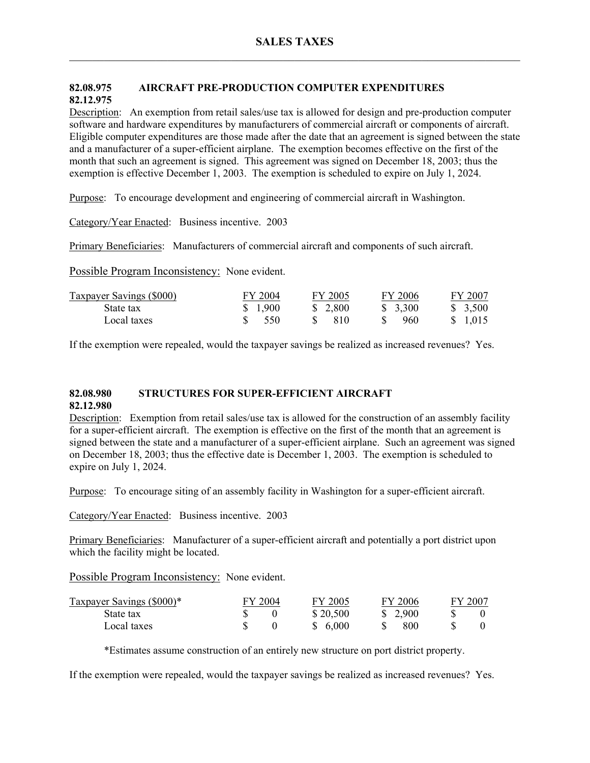# **82.08.975 AIRCRAFT PRE-PRODUCTION COMPUTER EXPENDITURES 82.12.975**

Description: An exemption from retail sales/use tax is allowed for design and pre-production computer software and hardware expenditures by manufacturers of commercial aircraft or components of aircraft. Eligible computer expenditures are those made after the date that an agreement is signed between the state and a manufacturer of a super-efficient airplane. The exemption becomes effective on the first of the month that such an agreement is signed. This agreement was signed on December 18, 2003; thus the exemption is effective December 1, 2003. The exemption is scheduled to expire on July 1, 2024.

Purpose: To encourage development and engineering of commercial aircraft in Washington.

Category/Year Enacted: Business incentive. 2003

Primary Beneficiaries: Manufacturers of commercial aircraft and components of such aircraft.

Possible Program Inconsistency: None evident.

| Taxpayer Savings (\$000) | FY 2004             | FY 2005 | FY 2006 | FY 2007  |
|--------------------------|---------------------|---------|---------|----------|
| State tax                | \$1,900             | \$2,800 | \$3,300 | \$3,500  |
| Local taxes              | $\frac{\$}{\$}$ 550 | -810    | 960     | \$ 1.015 |

If the exemption were repealed, would the taxpayer savings be realized as increased revenues? Yes.

#### **82.08.980 STRUCTURES FOR SUPER-EFFICIENT AIRCRAFT 82.12.980**

Description: Exemption from retail sales/use tax is allowed for the construction of an assembly facility for a super-efficient aircraft. The exemption is effective on the first of the month that an agreement is signed between the state and a manufacturer of a super-efficient airplane. Such an agreement was signed on December 18, 2003; thus the effective date is December 1, 2003. The exemption is scheduled to expire on July 1, 2024.

Purpose: To encourage siting of an assembly facility in Washington for a super-efficient aircraft.

Category/Year Enacted: Business incentive. 2003

Primary Beneficiaries: Manufacturer of a super-efficient aircraft and potentially a port district upon which the facility might be located.

Possible Program Inconsistency: None evident.

| Taxpayer Savings (\$000)* | FY 2004 | FY 2005  | FY 2006  | FY 200 |
|---------------------------|---------|----------|----------|--------|
| State tax                 |         | \$20,500 | \$ 2.900 |        |
| Local taxes               |         | \$ 6.000 | 800      |        |

\*Estimates assume construction of an entirely new structure on port district property.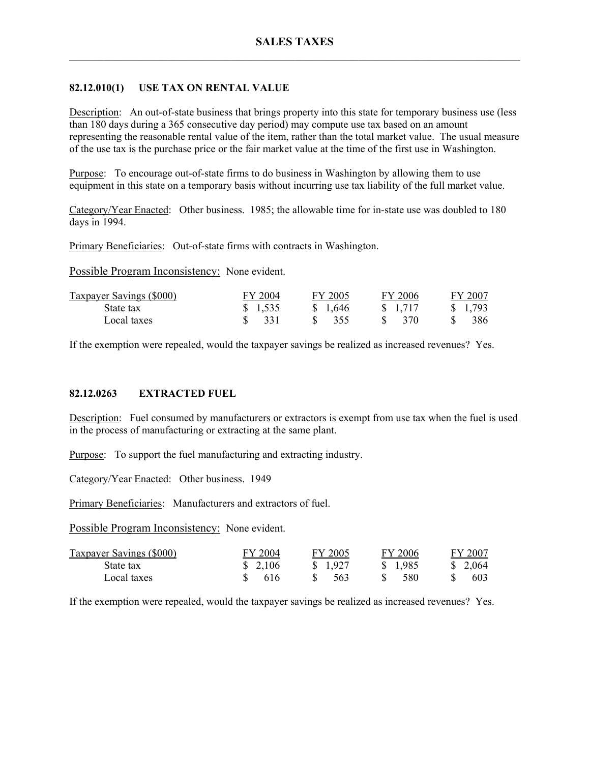## **82.12.010(1) USE TAX ON RENTAL VALUE**

Description: An out-of-state business that brings property into this state for temporary business use (less than 180 days during a 365 consecutive day period) may compute use tax based on an amount representing the reasonable rental value of the item, rather than the total market value. The usual measure of the use tax is the purchase price or the fair market value at the time of the first use in Washington.

Purpose: To encourage out-of-state firms to do business in Washington by allowing them to use equipment in this state on a temporary basis without incurring use tax liability of the full market value.

Category/Year Enacted: Other business. 1985; the allowable time for in-state use was doubled to 180 days in 1994.

Primary Beneficiaries: Out-of-state firms with contracts in Washington.

Possible Program Inconsistency: None evident.

| Taxpayer Savings (\$000) | FY 2004 | FY 2005                         | FY 2006 | FY 2007         |
|--------------------------|---------|---------------------------------|---------|-----------------|
| State tax                | \$1,535 | \$1,646                         | \$1,717 | $\frac{1}{293}$ |
| Local taxes              | 331     | $\frac{\text{S}}{\text{S}}$ 355 | 370     | 386.            |

If the exemption were repealed, would the taxpayer savings be realized as increased revenues? Yes.

### **82.12.0263 EXTRACTED FUEL**

Description: Fuel consumed by manufacturers or extractors is exempt from use tax when the fuel is used in the process of manufacturing or extracting at the same plant.

Purpose: To support the fuel manufacturing and extracting industry.

Category/Year Enacted: Other business. 1949

Primary Beneficiaries: Manufacturers and extractors of fuel.

Possible Program Inconsistency: None evident.

| Taxpayer Savings (\$000) | FY 2004  | FY 2005  | FY 2006  | FY 2007  |
|--------------------------|----------|----------|----------|----------|
| State tax                | \$ 2.106 | \$ 1.927 | \$ 1.985 | \$ 2,064 |
| Local taxes              | 616      | 563      | 580      | 603      |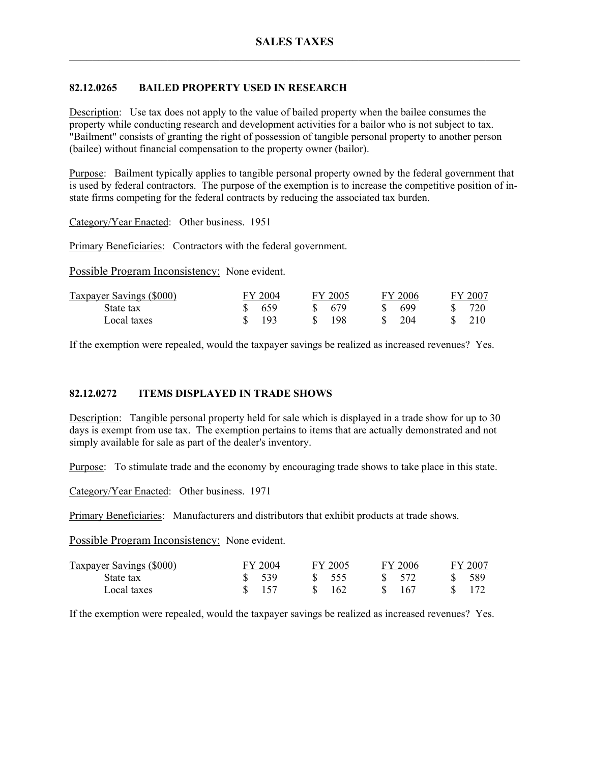# **82.12.0265 BAILED PROPERTY USED IN RESEARCH**

Description: Use tax does not apply to the value of bailed property when the bailee consumes the property while conducting research and development activities for a bailor who is not subject to tax. "Bailment" consists of granting the right of possession of tangible personal property to another person (bailee) without financial compensation to the property owner (bailor).

Purpose: Bailment typically applies to tangible personal property owned by the federal government that is used by federal contractors. The purpose of the exemption is to increase the competitive position of instate firms competing for the federal contracts by reducing the associated tax burden.

Category/Year Enacted: Other business. 1951

Primary Beneficiaries: Contractors with the federal government.

Possible Program Inconsistency: None evident.

| Taxpayer Savings (\$000) | FY 2004 | FY 2005 | FY 2006 | FY 2007 |
|--------------------------|---------|---------|---------|---------|
| State tax                | 659     | 679     | 699     |         |
| Local taxes              | 193     | 198     | 204     | 210     |

If the exemption were repealed, would the taxpayer savings be realized as increased revenues? Yes.

### **82.12.0272 ITEMS DISPLAYED IN TRADE SHOWS**

Description: Tangible personal property held for sale which is displayed in a trade show for up to 30 days is exempt from use tax. The exemption pertains to items that are actually demonstrated and not simply available for sale as part of the dealer's inventory.

Purpose: To stimulate trade and the economy by encouraging trade shows to take place in this state.

Category/Year Enacted: Other business. 1971

Primary Beneficiaries: Manufacturers and distributors that exhibit products at trade shows.

Possible Program Inconsistency: None evident.

| Taxpayer Savings (\$000) | FY 2004 | FY 2005 | $-2006$<br>- EV 4 | $Y$ 2007 |
|--------------------------|---------|---------|-------------------|----------|
| State tax                | 539     | 555     | 572               | 589      |
| Local taxes              |         | 162     | 167               |          |